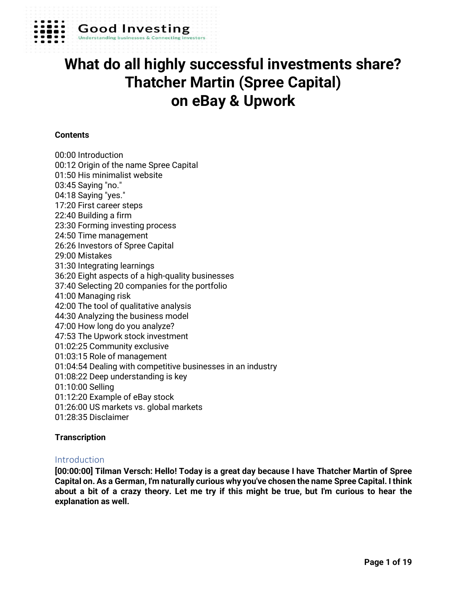

## **Good Investing**

# **What do all highly successful investments share? Thatcher Martin (Spree Capital) on eBay & Upwork**

## **Contents**

00:00 Introduction 00:12 Origin of the name Spree Capital 01:50 His minimalist website 03:45 Saying "no." 04:18 Saying "yes." 17:20 First career steps 22:40 Building a firm 23:30 Forming investing process 24:50 Time management 26:26 Investors of Spree Capital 29:00 Mistakes 31:30 Integrating learnings 36:20 Eight aspects of a high-quality businesses 37:40 Selecting 20 companies for the portfolio 41:00 Managing risk 42:00 The tool of qualitative analysis 44:30 Analyzing the business model 47:00 How long do you analyze? 47:53 The Upwork stock investment 01:02:25 Community exclusive 01:03:15 Role of management 01:04:54 Dealing with competitive businesses in an industry 01:08:22 Deep understanding is key 01:10:00 Selling 01:12:20 Example of eBay stock 01:26:00 US markets vs. global markets 01:28:35 Disclaimer

#### **Transcription**

#### Introduction

**[00:00:00] Tilman Versch: Hello! Today is a great day because I have Thatcher Martin of Spree Capital on. As a German, I'm naturally curious why you've chosen the name Spree Capital. I think about a bit of a crazy theory. Let me try if this might be true, but I'm curious to hear the explanation as well.**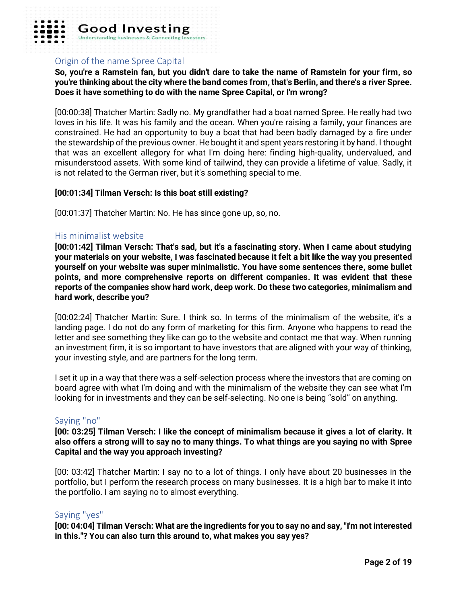

## Origin of the name Spree Capital

**So, you're a Ramstein fan, but you didn't dare to take the name of Ramstein for your firm, so you're thinking about the city where the band comes from, that's Berlin, and there's a river Spree. Does it have something to do with the name Spree Capital, or I'm wrong?**

[00:00:38] Thatcher Martin: Sadly no. My grandfather had a boat named Spree. He really had two loves in his life. It was his family and the ocean. When you're raising a family, your finances are constrained. He had an opportunity to buy a boat that had been badly damaged by a fire under the stewardship of the previous owner. He bought it and spent years restoring it by hand. I thought that was an excellent allegory for what I'm doing here: finding high-quality, undervalued, and misunderstood assets. With some kind of tailwind, they can provide a lifetime of value. Sadly, it is not related to the German river, but it's something special to me.

#### **[00:01:34] Tilman Versch: Is this boat still existing?**

[00:01:37] Thatcher Martin: No. He has since gone up, so, no.

#### His minimalist website

**[00:01:42] Tilman Versch: That's sad, but it's a fascinating story. When I came about studying your materials on your website, I was fascinated because it felt a bit like the way you presented yourself on your website was super minimalistic. You have some sentences there, some bullet points, and more comprehensive reports on different companies. It was evident that these reports of the companies show hard work, deep work. Do these two categories, minimalism and hard work, describe you?**

[00:02:24] Thatcher Martin: Sure. I think so. In terms of the minimalism of the website, it's a landing page. I do not do any form of marketing for this firm. Anyone who happens to read the letter and see something they like can go to the website and contact me that way. When running an investment firm, it is so important to have investors that are aligned with your way of thinking, your investing style, and are partners for the long term.

I set it up in a way that there was a self-selection process where the investors that are coming on board agree with what I'm doing and with the minimalism of the website they can see what I'm looking for in investments and they can be self-selecting. No one is being "sold" on anything.

#### Saying "no"

**[00: 03:25] Tilman Versch: I like the concept of minimalism because it gives a lot of clarity. It also offers a strong will to say no to many things. To what things are you saying no with Spree Capital and the way you approach investing?**

[00: 03:42] Thatcher Martin: I say no to a lot of things. I only have about 20 businesses in the portfolio, but I perform the research process on many businesses. It is a high bar to make it into the portfolio. I am saying no to almost everything.

#### Saying "yes"

**[00: 04:04] Tilman Versch: What are the ingredients for you to say no and say, "I'm not interested in this."? You can also turn this around to, what makes you say yes?**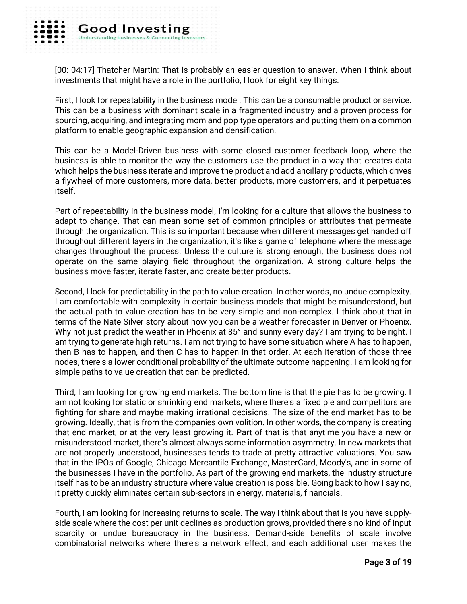[00: 04:17] Thatcher Martin: That is probably an easier question to answer. When I think about investments that might have a role in the portfolio, I look for eight key things.

First, I look for repeatability in the business model. This can be a consumable product or service. This can be a business with dominant scale in a fragmented industry and a proven process for sourcing, acquiring, and integrating mom and pop type operators and putting them on a common platform to enable geographic expansion and densification.

This can be a Model-Driven business with some closed customer feedback loop, where the business is able to monitor the way the customers use the product in a way that creates data which helps the business iterate and improve the product and add ancillary products, which drives a flywheel of more customers, more data, better products, more customers, and it perpetuates itself.

Part of repeatability in the business model, I'm looking for a culture that allows the business to adapt to change. That can mean some set of common principles or attributes that permeate through the organization. This is so important because when different messages get handed off throughout different layers in the organization, it's like a game of telephone where the message changes throughout the process. Unless the culture is strong enough, the business does not operate on the same playing field throughout the organization. A strong culture helps the business move faster, iterate faster, and create better products.

Second, I look for predictability in the path to value creation. In other words, no undue complexity. I am comfortable with complexity in certain business models that might be misunderstood, but the actual path to value creation has to be very simple and non-complex. I think about that in terms of the Nate Silver story about how you can be a weather forecaster in Denver or Phoenix. Why not just predict the weather in Phoenix at 85° and sunny every day? I am trying to be right. I am trying to generate high returns. I am not trying to have some situation where A has to happen, then B has to happen, and then C has to happen in that order. At each iteration of those three nodes, there's a lower conditional probability of the ultimate outcome happening. I am looking for simple paths to value creation that can be predicted.

Third, I am looking for growing end markets. The bottom line is that the pie has to be growing. I am not looking for static or shrinking end markets, where there's a fixed pie and competitors are fighting for share and maybe making irrational decisions. The size of the end market has to be growing. Ideally, that is from the companies own volition. In other words, the company is creating that end market, or at the very least growing it. Part of that is that anytime you have a new or misunderstood market, there's almost always some information asymmetry. In new markets that are not properly understood, businesses tends to trade at pretty attractive valuations. You saw that in the IPOs of Google, Chicago Mercantile Exchange, MasterCard, Moody's, and in some of the businesses I have in the portfolio. As part of the growing end markets, the industry structure itself has to be an industry structure where value creation is possible. Going back to how I say no, it pretty quickly eliminates certain sub-sectors in energy, materials, financials.

Fourth, I am looking for increasing returns to scale. The way I think about that is you have supplyside scale where the cost per unit declines as production grows, provided there's no kind of input scarcity or undue bureaucracy in the business. Demand-side benefits of scale involve combinatorial networks where there's a network effect, and each additional user makes the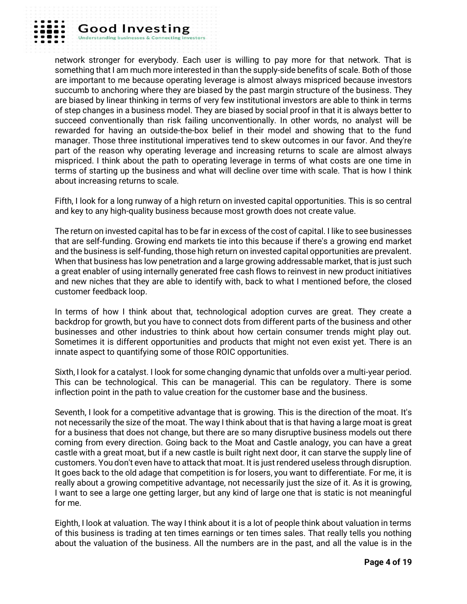

**Good Investing** 

**Understanding busine** 

network stronger for everybody. Each user is willing to pay more for that network. That is something that I am much more interested in than the supply-side benefits of scale. Both of those are important to me because operating leverage is almost always mispriced because investors succumb to anchoring where they are biased by the past margin structure of the business. They are biased by linear thinking in terms of very few institutional investors are able to think in terms of step changes in a business model. They are biased by social proof in that it is always better to succeed conventionally than risk failing unconventionally. In other words, no analyst will be rewarded for having an outside-the-box belief in their model and showing that to the fund manager. Those three institutional imperatives tend to skew outcomes in our favor. And they're part of the reason why operating leverage and increasing returns to scale are almost always mispriced. I think about the path to operating leverage in terms of what costs are one time in terms of starting up the business and what will decline over time with scale. That is how I think about increasing returns to scale.

Fifth, I look for a long runway of a high return on invested capital opportunities. This is so central and key to any high-quality business because most growth does not create value.

The return on invested capital has to be far in excess of the cost of capital. I like to see businesses that are self-funding. Growing end markets tie into this because if there's a growing end market and the business is self-funding, those high return on invested capital opportunities are prevalent. When that business has low penetration and a large growing addressable market, that is just such a great enabler of using internally generated free cash flows to reinvest in new product initiatives and new niches that they are able to identify with, back to what I mentioned before, the closed customer feedback loop.

In terms of how I think about that, technological adoption curves are great. They create a backdrop for growth, but you have to connect dots from different parts of the business and other businesses and other industries to think about how certain consumer trends might play out. Sometimes it is different opportunities and products that might not even exist yet. There is an innate aspect to quantifying some of those ROIC opportunities.

Sixth, I look for a catalyst. I look for some changing dynamic that unfolds over a multi-year period. This can be technological. This can be managerial. This can be regulatory. There is some inflection point in the path to value creation for the customer base and the business.

Seventh, I look for a competitive advantage that is growing. This is the direction of the moat. It's not necessarily the size of the moat. The way I think about that is that having a large moat is great for a business that does not change, but there are so many disruptive business models out there coming from every direction. Going back to the Moat and Castle analogy, you can have a great castle with a great moat, but if a new castle is built right next door, it can starve the supply line of customers. You don't even have to attack that moat. It is just rendered useless through disruption. It goes back to the old adage that competition is for losers, you want to differentiate. For me, it is really about a growing competitive advantage, not necessarily just the size of it. As it is growing, I want to see a large one getting larger, but any kind of large one that is static is not meaningful for me.

Eighth, I look at valuation. The way I think about it is a lot of people think about valuation in terms of this business is trading at ten times earnings or ten times sales. That really tells you nothing about the valuation of the business. All the numbers are in the past, and all the value is in the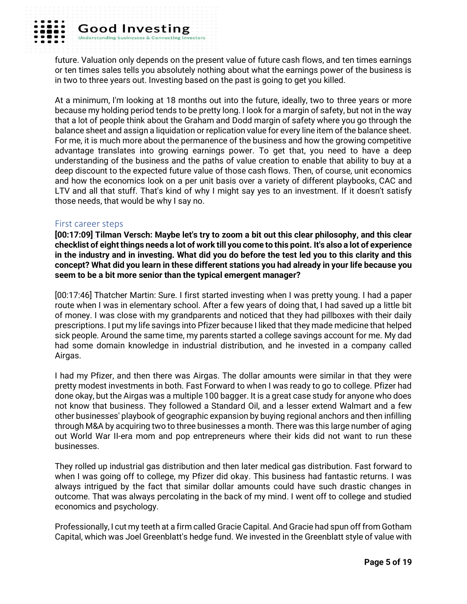future. Valuation only depends on the present value of future cash flows, and ten times earnings or ten times sales tells you absolutely nothing about what the earnings power of the business is in two to three years out. Investing based on the past is going to get you killed.

At a minimum, I'm looking at 18 months out into the future, ideally, two to three years or more because my holding period tends to be pretty long. I look for a margin of safety, but not in the way that a lot of people think about the Graham and Dodd margin of safety where you go through the balance sheet and assign a liquidation or replication value for every line item of the balance sheet. For me, it is much more about the permanence of the business and how the growing competitive advantage translates into growing earnings power. To get that, you need to have a deep understanding of the business and the paths of value creation to enable that ability to buy at a deep discount to the expected future value of those cash flows. Then, of course, unit economics and how the economics look on a per unit basis over a variety of different playbooks, CAC and LTV and all that stuff. That's kind of why I might say yes to an investment. If it doesn't satisfy those needs, that would be why I say no.

#### First career steps

**[00:17:09] Tilman Versch: Maybe let's try to zoom a bit out this clear philosophy, and this clear checklist of eight things needs a lot of work till you come to this point. It's also a lot of experience in the industry and in investing. What did you do before the test led you to this clarity and this concept? What did you learn in these different stations you had already in your life because you seem to be a bit more senior than the typical emergent manager?**

[00:17:46] Thatcher Martin: Sure. I first started investing when I was pretty young. I had a paper route when I was in elementary school. After a few years of doing that, I had saved up a little bit of money. I was close with my grandparents and noticed that they had pillboxes with their daily prescriptions. I put my life savings into Pfizer because I liked that they made medicine that helped sick people. Around the same time, my parents started a college savings account for me. My dad had some domain knowledge in industrial distribution, and he invested in a company called Airgas.

I had my Pfizer, and then there was Airgas. The dollar amounts were similar in that they were pretty modest investments in both. Fast Forward to when I was ready to go to college. Pfizer had done okay, but the Airgas was a multiple 100 bagger. It is a great case study for anyone who does not know that business. They followed a Standard Oil, and a lesser extend Walmart and a few other businesses' playbook of geographic expansion by buying regional anchors and then infilling through M&A by acquiring two to three businesses a month. There was this large number of aging out World War II-era mom and pop entrepreneurs where their kids did not want to run these businesses.

They rolled up industrial gas distribution and then later medical gas distribution. Fast forward to when I was going off to college, my Pfizer did okay. This business had fantastic returns. I was always intrigued by the fact that similar dollar amounts could have such drastic changes in outcome. That was always percolating in the back of my mind. I went off to college and studied economics and psychology.

Professionally, I cut my teeth at a firm called Gracie Capital. And Gracie had spun off from Gotham Capital, which was Joel Greenblatt's hedge fund. We invested in the Greenblatt style of value with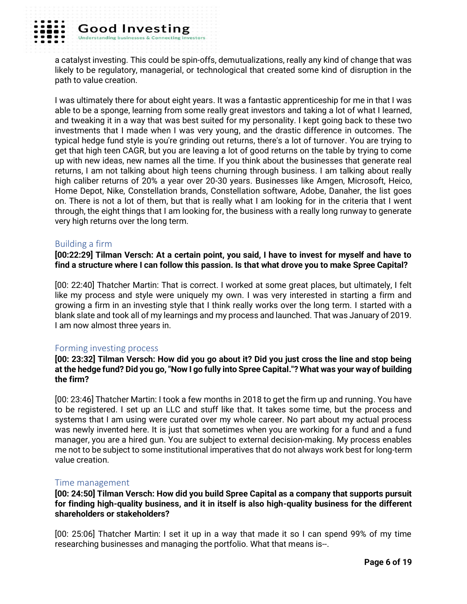a catalyst investing. This could be spin-offs, demutualizations, really any kind of change that was likely to be regulatory, managerial, or technological that created some kind of disruption in the path to value creation.

I was ultimately there for about eight years. It was a fantastic apprenticeship for me in that I was able to be a sponge, learning from some really great investors and taking a lot of what I learned, and tweaking it in a way that was best suited for my personality. I kept going back to these two investments that I made when I was very young, and the drastic difference in outcomes. The typical hedge fund style is you're grinding out returns, there's a lot of turnover. You are trying to get that high teen CAGR, but you are leaving a lot of good returns on the table by trying to come up with new ideas, new names all the time. If you think about the businesses that generate real returns, I am not talking about high teens churning through business. I am talking about really high caliber returns of 20% a year over 20-30 years. Businesses like Amgen, Microsoft, Heico, Home Depot, Nike, Constellation brands, Constellation software, Adobe, Danaher, the list goes on. There is not a lot of them, but that is really what I am looking for in the criteria that I went through, the eight things that I am looking for, the business with a really long runway to generate very high returns over the long term.

## Building a firm

**[00:22:29] Tilman Versch: At a certain point, you said, I have to invest for myself and have to find a structure where I can follow this passion. Is that what drove you to make Spree Capital?**

[00: 22:40] Thatcher Martin: That is correct. I worked at some great places, but ultimately, I felt like my process and style were uniquely my own. I was very interested in starting a firm and growing a firm in an investing style that I think really works over the long term. I started with a blank slate and took all of my learnings and my process and launched. That was January of 2019. I am now almost three years in.

## Forming investing process

**[00: 23:32] Tilman Versch: How did you go about it? Did you just cross the line and stop being at the hedge fund? Did you go, "Now I go fully into Spree Capital."? What was your way of building the firm?**

[00: 23:46] Thatcher Martin: I took a few months in 2018 to get the firm up and running. You have to be registered. I set up an LLC and stuff like that. It takes some time, but the process and systems that I am using were curated over my whole career. No part about my actual process was newly invented here. It is just that sometimes when you are working for a fund and a fund manager, you are a hired gun. You are subject to external decision-making. My process enables me not to be subject to some institutional imperatives that do not always work best for long-term value creation.

## Time management

**[00: 24:50] Tilman Versch: How did you build Spree Capital as a company that supports pursuit for finding high-quality business, and it in itself is also high-quality business for the different shareholders or stakeholders?**

[00: 25:06] Thatcher Martin: I set it up in a way that made it so I can spend 99% of my time researching businesses and managing the portfolio. What that means is--.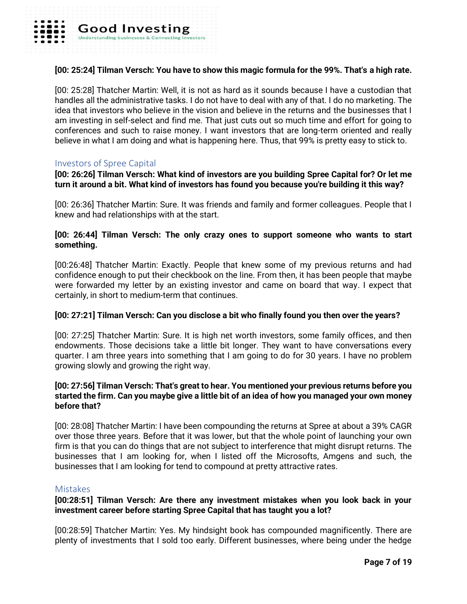## **[00: 25:24] Tilman Versch: You have to show this magic formula for the 99%. That's a high rate.**

[00: 25:28] Thatcher Martin: Well, it is not as hard as it sounds because I have a custodian that handles all the administrative tasks. I do not have to deal with any of that. I do no marketing. The idea that investors who believe in the vision and believe in the returns and the businesses that I am investing in self-select and find me. That just cuts out so much time and effort for going to conferences and such to raise money. I want investors that are long-term oriented and really believe in what I am doing and what is happening here. Thus, that 99% is pretty easy to stick to.

#### Investors of Spree Capital

**[00: 26:26] Tilman Versch: What kind of investors are you building Spree Capital for? Or let me turn it around a bit. What kind of investors has found you because you're building it this way?**

[00: 26:36] Thatcher Martin: Sure. It was friends and family and former colleagues. People that I knew and had relationships with at the start.

#### **[00: 26:44] Tilman Versch: The only crazy ones to support someone who wants to start something.**

[00:26:48] Thatcher Martin: Exactly. People that knew some of my previous returns and had confidence enough to put their checkbook on the line. From then, it has been people that maybe were forwarded my letter by an existing investor and came on board that way. I expect that certainly, in short to medium-term that continues.

#### **[00: 27:21] Tilman Versch: Can you disclose a bit who finally found you then over the years?**

[00: 27:25] Thatcher Martin: Sure. It is high net worth investors, some family offices, and then endowments. Those decisions take a little bit longer. They want to have conversations every quarter. I am three years into something that I am going to do for 30 years. I have no problem growing slowly and growing the right way.

## **[00: 27:56] Tilman Versch: That's great to hear. You mentioned your previous returns before you started the firm. Can you maybe give a little bit of an idea of how you managed your own money before that?**

[00: 28:08] Thatcher Martin: I have been compounding the returns at Spree at about a 39% CAGR over those three years. Before that it was lower, but that the whole point of launching your own firm is that you can do things that are not subject to interference that might disrupt returns. The businesses that I am looking for, when I listed off the Microsofts, Amgens and such, the businesses that I am looking for tend to compound at pretty attractive rates.

#### **Mistakes**

## **[00:28:51] Tilman Versch: Are there any investment mistakes when you look back in your investment career before starting Spree Capital that has taught you a lot?**

[00:28:59] Thatcher Martin: Yes. My hindsight book has compounded magnificently. There are plenty of investments that I sold too early. Different businesses, where being under the hedge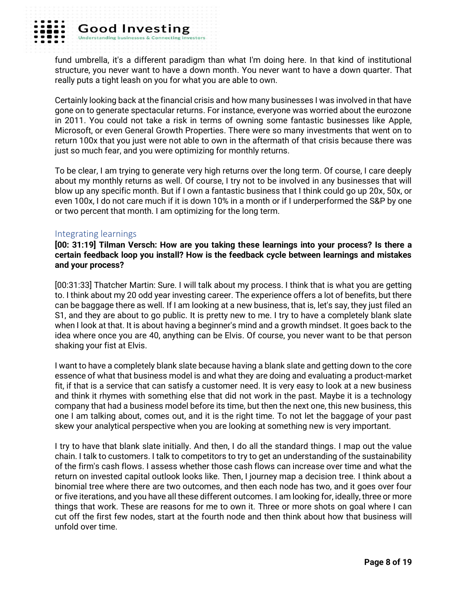

fund umbrella, it's a different paradigm than what I'm doing here. In that kind of institutional structure, you never want to have a down month. You never want to have a down quarter. That really puts a tight leash on you for what you are able to own.

Certainly looking back at the financial crisis and how many businesses I was involved in that have gone on to generate spectacular returns. For instance, everyone was worried about the eurozone in 2011. You could not take a risk in terms of owning some fantastic businesses like Apple, Microsoft, or even General Growth Properties. There were so many investments that went on to return 100x that you just were not able to own in the aftermath of that crisis because there was just so much fear, and you were optimizing for monthly returns.

To be clear, I am trying to generate very high returns over the long term. Of course, I care deeply about my monthly returns as well. Of course, I try not to be involved in any businesses that will blow up any specific month. But if I own a fantastic business that I think could go up 20x, 50x, or even 100x, I do not care much if it is down 10% in a month or if I underperformed the S&P by one or two percent that month. I am optimizing for the long term.

## Integrating learnings

**[00: 31:19] Tilman Versch: How are you taking these learnings into your process? Is there a certain feedback loop you install? How is the feedback cycle between learnings and mistakes and your process?**

[00:31:33] Thatcher Martin: Sure. I will talk about my process. I think that is what you are getting to. I think about my 20 odd year investing career. The experience offers a lot of benefits, but there can be baggage there as well. If I am looking at a new business, that is, let's say, they just filed an S1, and they are about to go public. It is pretty new to me. I try to have a completely blank slate when I look at that. It is about having a beginner's mind and a growth mindset. It goes back to the idea where once you are 40, anything can be Elvis. Of course, you never want to be that person shaking your fist at Elvis.

I want to have a completely blank slate because having a blank slate and getting down to the core essence of what that business model is and what they are doing and evaluating a product-market fit, if that is a service that can satisfy a customer need. It is very easy to look at a new business and think it rhymes with something else that did not work in the past. Maybe it is a technology company that had a business model before its time, but then the next one, this new business, this one I am talking about, comes out, and it is the right time. To not let the baggage of your past skew your analytical perspective when you are looking at something new is very important.

I try to have that blank slate initially. And then, I do all the standard things. I map out the value chain. I talk to customers. I talk to competitors to try to get an understanding of the sustainability of the firm's cash flows. I assess whether those cash flows can increase over time and what the return on invested capital outlook looks like. Then, I journey map a decision tree. I think about a binomial tree where there are two outcomes, and then each node has two, and it goes over four or five iterations, and you have all these different outcomes. I am looking for, ideally, three or more things that work. These are reasons for me to own it. Three or more shots on goal where I can cut off the first few nodes, start at the fourth node and then think about how that business will unfold over time.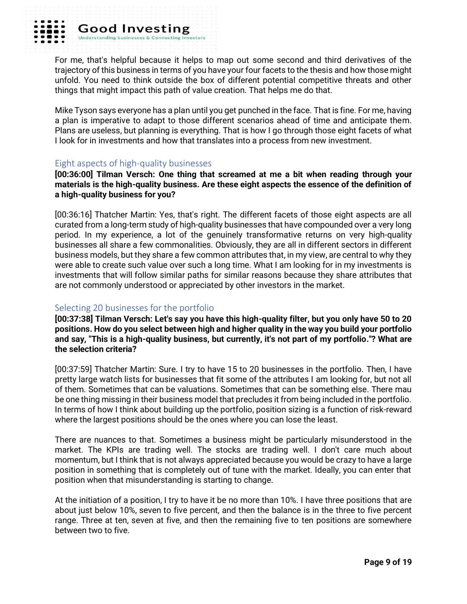

For me, that's helpful because it helps to map out some second and third derivatives of the trajectory of this business in terms of you have your four facets to the thesis and how those might unfold. You need to think outside the box of different potential competitive threats and other things that might impact this path of value creation. That helps me do that.

Mike Tyson says everyone has a plan until you get punched in the face. That is fine. For me, having a plan is imperative to adapt to those different scenarios ahead of time and anticipate them. Plans are useless, but planning is everything. That is how I go through those eight facets of what I look for in investments and how that translates into a process from new investment.

#### Eight aspects of high-quality businesses

**Good Investing** 

**Understanding businesses** 

**[00:36:00] Tilman Versch: One thing that screamed at me a bit when reading through your materials is the high-quality business. Are these eight aspects the essence of the definition of a high-quality business for you?**

[00:36:16] Thatcher Martin: Yes, that's right. The different facets of those eight aspects are all curated from a long-term study of high-quality businesses that have compounded over a very long period. In my experience, a lot of the genuinely transformative returns on very high-quality businesses all share a few commonalities. Obviously, they are all in different sectors in different business models, but they share a few common attributes that, in my view, are central to why they were able to create such value over such a long time. What I am looking for in my investments is investments that will follow similar paths for similar reasons because they share attributes that are not commonly understood or appreciated by other investors in the market.

## Selecting 20 businesses for the portfolio

**[00:37:38] Tilman Versch: Let's say you have this high-quality filter, but you only have 50 to 20 positions. How do you select between high and higher quality in the way you build your portfolio and say, "This is a high-quality business, but currently, it's not part of my portfolio."? What are the selection criteria?**

[00:37:59] Thatcher Martin: Sure. I try to have 15 to 20 businesses in the portfolio. Then, I have pretty large watch lists for businesses that fit some of the attributes I am looking for, but not all of them. Sometimes that can be valuations. Sometimes that can be something else. There mau be one thing missing in their business model that precludes it from being included in the portfolio. In terms of how I think about building up the portfolio, position sizing is a function of risk-reward where the largest positions should be the ones where you can lose the least.

There are nuances to that. Sometimes a business might be particularly misunderstood in the market. The KPIs are trading well. The stocks are trading well. I don't care much about momentum, but I think that is not always appreciated because you would be crazy to have a large position in something that is completely out of tune with the market. Ideally, you can enter that position when that misunderstanding is starting to change.

At the initiation of a position, I try to have it be no more than 10%. I have three positions that are about just below 10%, seven to five percent, and then the balance is in the three to five percent range. Three at ten, seven at five, and then the remaining five to ten positions are somewhere between two to five.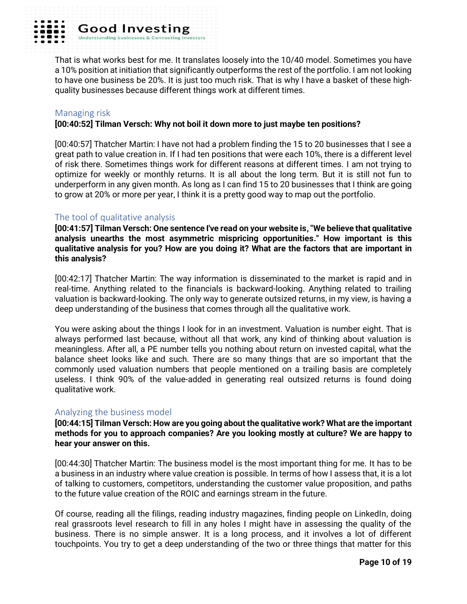

**Good Investing** Understanding busine

That is what works best for me. It translates loosely into the 10/40 model. Sometimes you have a 10% position at initiation that significantly outperforms the rest of the portfolio. I am not looking to have one business be 20%. It is just too much risk. That is why I have a basket of these highquality businesses because different things work at different times.

#### Managing risk

#### **[00:40:52] Tilman Versch: Why not boil it down more to just maybe ten positions?**

[00:40:57] Thatcher Martin: I have not had a problem finding the 15 to 20 businesses that I see a great path to value creation in. If I had ten positions that were each 10%, there is a different level of risk there. Sometimes things work for different reasons at different times. I am not trying to optimize for weekly or monthly returns. It is all about the long term. But it is still not fun to underperform in any given month. As long as I can find 15 to 20 businesses that I think are going to grow at 20% or more per year, I think it is a pretty good way to map out the portfolio.

## The tool of qualitative analysis

**[00:41:57] Tilman Versch: One sentence I've read on your website is, "We believe that qualitative analysis unearths the most asymmetric mispricing opportunities." How important is this qualitative analysis for you? How are you doing it? What are the factors that are important in this analysis?**

[00:42:17] Thatcher Martin: The way information is disseminated to the market is rapid and in real-time. Anything related to the financials is backward-looking. Anything related to trailing valuation is backward-looking. The only way to generate outsized returns, in my view, is having a deep understanding of the business that comes through all the qualitative work.

You were asking about the things I look for in an investment. Valuation is number eight. That is always performed last because, without all that work, any kind of thinking about valuation is meaningless. After all, a PE number tells you nothing about return on invested capital, what the balance sheet looks like and such. There are so many things that are so important that the commonly used valuation numbers that people mentioned on a trailing basis are completely useless. I think 90% of the value-added in generating real outsized returns is found doing qualitative work.

## Analyzing the business model

**[00:44:15] Tilman Versch: How are you going about the qualitative work? What are the important methods for you to approach companies? Are you looking mostly at culture? We are happy to hear your answer on this.**

[00:44:30] Thatcher Martin: The business model is the most important thing for me. It has to be a business in an industry where value creation is possible. In terms of how I assess that, it is a lot of talking to customers, competitors, understanding the customer value proposition, and paths to the future value creation of the ROIC and earnings stream in the future.

Of course, reading all the filings, reading industry magazines, finding people on LinkedIn, doing real grassroots level research to fill in any holes I might have in assessing the quality of the business. There is no simple answer. It is a long process, and it involves a lot of different touchpoints. You try to get a deep understanding of the two or three things that matter for this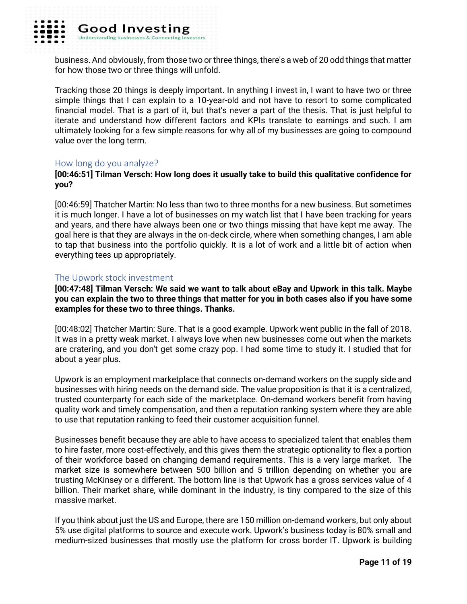

business. And obviously, from those two or three things, there's a web of 20 odd things that matter for how those two or three things will unfold.

Tracking those 20 things is deeply important. In anything I invest in, I want to have two or three simple things that I can explain to a 10-year-old and not have to resort to some complicated financial model. That is a part of it, but that's never a part of the thesis. That is just helpful to iterate and understand how different factors and KPIs translate to earnings and such. I am ultimately looking for a few simple reasons for why all of my businesses are going to compound value over the long term.

#### How long do you analyze?

## **[00:46:51] Tilman Versch: How long does it usually take to build this qualitative confidence for you?**

[00:46:59] Thatcher Martin: No less than two to three months for a new business. But sometimes it is much longer. I have a lot of businesses on my watch list that I have been tracking for years and years, and there have always been one or two things missing that have kept me away. The goal here is that they are always in the on-deck circle, where when something changes, I am able to tap that business into the portfolio quickly. It is a lot of work and a little bit of action when everything tees up appropriately.

#### The Upwork stock investment

**[00:47:48] Tilman Versch: We said we want to talk about eBay and Upwork in this talk. Maybe you can explain the two to three things that matter for you in both cases also if you have some examples for these two to three things. Thanks.**

[00:48:02] Thatcher Martin: Sure. That is a good example. Upwork went public in the fall of 2018. It was in a pretty weak market. I always love when new businesses come out when the markets are cratering, and you don't get some crazy pop. I had some time to study it. I studied that for about a year plus.

Upwork is an employment marketplace that connects on-demand workers on the supply side and businesses with hiring needs on the demand side. The value proposition is that it is a centralized, trusted counterparty for each side of the marketplace. On-demand workers benefit from having quality work and timely compensation, and then a reputation ranking system where they are able to use that reputation ranking to feed their customer acquisition funnel.

Businesses benefit because they are able to have access to specialized talent that enables them to hire faster, more cost-effectively, and this gives them the strategic optionality to flex a portion of their workforce based on changing demand requirements. This is a very large market. The market size is somewhere between 500 billion and 5 trillion depending on whether you are trusting McKinsey or a different. The bottom line is that Upwork has a gross services value of 4 billion. Their market share, while dominant in the industry, is tiny compared to the size of this massive market.

If you think about just the US and Europe, there are 150 million on-demand workers, but only about 5% use digital platforms to source and execute work. Upwork's business today is 80% small and medium-sized businesses that mostly use the platform for cross border IT. Upwork is building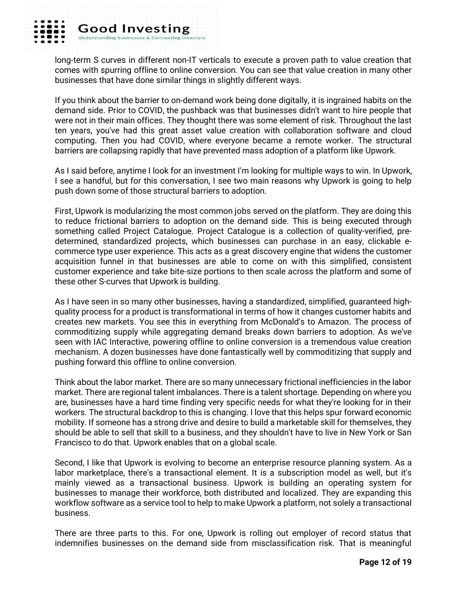

long-term S curves in different non-IT verticals to execute a proven path to value creation that comes with spurring offline to online conversion. You can see that value creation in many other businesses that have done similar things in slightly different ways.

If you think about the barrier to on-demand work being done digitally, it is ingrained habits on the demand side. Prior to COVID, the pushback was that businesses didn't want to hire people that were not in their main offices. They thought there was some element of risk. Throughout the last ten years, you've had this great asset value creation with collaboration software and cloud computing. Then you had COVID, where everyone became a remote worker. The structural barriers are collapsing rapidly that have prevented mass adoption of a platform like Upwork.

As I said before, anytime I look for an investment I'm looking for multiple ways to win. In Upwork, I see a handful, but for this conversation, I see two main reasons why Upwork is going to help push down some of those structural barriers to adoption.

First, Upwork is modularizing the most common jobs served on the platform. They are doing this to reduce frictional barriers to adoption on the demand side. This is being executed through something called Project Catalogue. Project Catalogue is a collection of quality-verified, predetermined, standardized projects, which businesses can purchase in an easy, clickable ecommerce type user experience. This acts as a great discovery engine that widens the customer acquisition funnel in that businesses are able to come on with this simplified, consistent customer experience and take bite-size portions to then scale across the platform and some of these other S-curves that Upwork is building.

As I have seen in so many other businesses, having a standardized, simplified, guaranteed highquality process for a product is transformational in terms of how it changes customer habits and creates new markets. You see this in everything from McDonald's to Amazon. The process of commoditizing supply while aggregating demand breaks down barriers to adoption. As we've seen with IAC Interactive, powering offline to online conversion is a tremendous value creation mechanism. A dozen businesses have done fantastically well by commoditizing that supply and pushing forward this offline to online conversion.

Think about the labor market. There are so many unnecessary frictional inefficiencies in the labor market. There are regional talent imbalances. There is a talent shortage. Depending on where you are, businesses have a hard time finding very specific needs for what they're looking for in their workers. The structural backdrop to this is changing. I love that this helps spur forward economic mobility. If someone has a strong drive and desire to build a marketable skill for themselves, they should be able to sell that skill to a business, and they shouldn't have to live in New York or San Francisco to do that. Upwork enables that on a global scale.

Second, I like that Upwork is evolving to become an enterprise resource planning system. As a labor marketplace, there's a transactional element. It is a subscription model as well, but it's mainly viewed as a transactional business. Upwork is building an operating system for businesses to manage their workforce, both distributed and localized. They are expanding this workflow software as a service tool to help to make Upwork a platform, not solely a transactional business.

There are three parts to this. For one, Upwork is rolling out employer of record status that indemnifies businesses on the demand side from misclassification risk. That is meaningful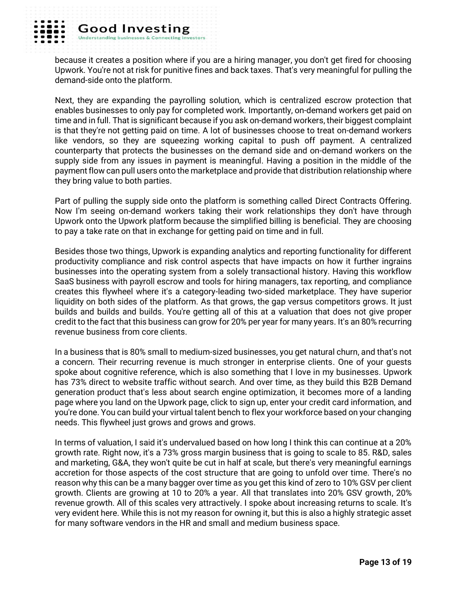because it creates a position where if you are a hiring manager, you don't get fired for choosing Upwork. You're not at risk for punitive fines and back taxes. That's very meaningful for pulling the demand-side onto the platform.

Next, they are expanding the payrolling solution, which is centralized escrow protection that enables businesses to only pay for completed work. Importantly, on-demand workers get paid on time and in full. That is significant because if you ask on-demand workers, their biggest complaint is that they're not getting paid on time. A lot of businesses choose to treat on-demand workers like vendors, so they are squeezing working capital to push off payment. A centralized counterparty that protects the businesses on the demand side and on-demand workers on the supply side from any issues in payment is meaningful. Having a position in the middle of the payment flow can pull users onto the marketplace and provide that distribution relationship where they bring value to both parties.

Part of pulling the supply side onto the platform is something called Direct Contracts Offering. Now I'm seeing on-demand workers taking their work relationships they don't have through Upwork onto the Upwork platform because the simplified billing is beneficial. They are choosing to pay a take rate on that in exchange for getting paid on time and in full.

Besides those two things, Upwork is expanding analytics and reporting functionality for different productivity compliance and risk control aspects that have impacts on how it further ingrains businesses into the operating system from a solely transactional history. Having this workflow SaaS business with payroll escrow and tools for hiring managers, tax reporting, and compliance creates this flywheel where it's a category-leading two-sided marketplace. They have superior liquidity on both sides of the platform. As that grows, the gap versus competitors grows. It just builds and builds and builds. You're getting all of this at a valuation that does not give proper credit to the fact that this business can grow for 20% per year for many years. It's an 80% recurring revenue business from core clients.

In a business that is 80% small to medium-sized businesses, you get natural churn, and that's not a concern. Their recurring revenue is much stronger in enterprise clients. One of your guests spoke about cognitive reference, which is also something that I love in my businesses. Upwork has 73% direct to website traffic without search. And over time, as they build this B2B Demand generation product that's less about search engine optimization, it becomes more of a landing page where you land on the Upwork page, click to sign up, enter your credit card information, and you're done. You can build your virtual talent bench to flex your workforce based on your changing needs. This flywheel just grows and grows and grows.

In terms of valuation, I said it's undervalued based on how long I think this can continue at a 20% growth rate. Right now, it's a 73% gross margin business that is going to scale to 85. R&D, sales and marketing, G&A, they won't quite be cut in half at scale, but there's very meaningful earnings accretion for those aspects of the cost structure that are going to unfold over time. There's no reason why this can be a many bagger over time as you get this kind of zero to 10% GSV per client growth. Clients are growing at 10 to 20% a year. All that translates into 20% GSV growth, 20% revenue growth. All of this scales very attractively. I spoke about increasing returns to scale. It's very evident here. While this is not my reason for owning it, but this is also a highly strategic asset for many software vendors in the HR and small and medium business space.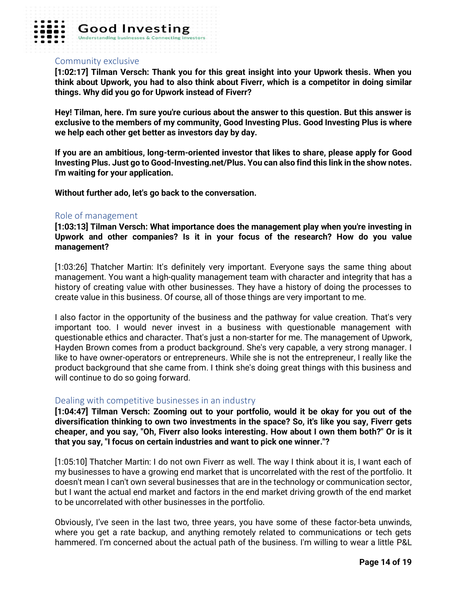

#### Community exclusive

**[1:02:17] Tilman Versch: Thank you for this great insight into your Upwork thesis. When you think about Upwork, you had to also think about Fiverr, which is a competitor in doing similar things. Why did you go for Upwork instead of Fiverr?** 

**Hey! Tilman, here. I'm sure you're curious about the answer to this question. But this answer is exclusive to the members of my community, Good Investing Plus. Good Investing Plus is where we help each other get better as investors day by day.** 

**If you are an ambitious, long-term-oriented investor that likes to share, please apply for Good Investing Plus. Just go to Good-Investing.net/Plus. You can also find this link in the show notes. I'm waiting for your application.** 

**Without further ado, let's go back to the conversation.** 

#### Role of management

**[1:03:13] Tilman Versch: What importance does the management play when you're investing in Upwork and other companies? Is it in your focus of the research? How do you value management?**

[1:03:26] Thatcher Martin: It's definitely very important. Everyone says the same thing about management. You want a high-quality management team with character and integrity that has a history of creating value with other businesses. They have a history of doing the processes to create value in this business. Of course, all of those things are very important to me.

I also factor in the opportunity of the business and the pathway for value creation. That's very important too. I would never invest in a business with questionable management with questionable ethics and character. That's just a non-starter for me. The management of Upwork, Hayden Brown comes from a product background. She's very capable, a very strong manager. I like to have owner-operators or entrepreneurs. While she is not the entrepreneur, I really like the product background that she came from. I think she's doing great things with this business and will continue to do so going forward.

## Dealing with competitive businesses in an industry

**[1:04:47] Tilman Versch: Zooming out to your portfolio, would it be okay for you out of the diversification thinking to own two investments in the space? So, it's like you say, Fiverr gets cheaper, and you say, "Oh, Fiverr also looks interesting. How about I own them both?" Or is it that you say, "I focus on certain industries and want to pick one winner."?**

[1:05:10] Thatcher Martin: I do not own Fiverr as well. The way I think about it is, I want each of my businesses to have a growing end market that is uncorrelated with the rest of the portfolio. It doesn't mean I can't own several businesses that are in the technology or communication sector, but I want the actual end market and factors in the end market driving growth of the end market to be uncorrelated with other businesses in the portfolio.

Obviously, I've seen in the last two, three years, you have some of these factor-beta unwinds, where you get a rate backup, and anything remotely related to communications or tech gets hammered. I'm concerned about the actual path of the business. I'm willing to wear a little P&L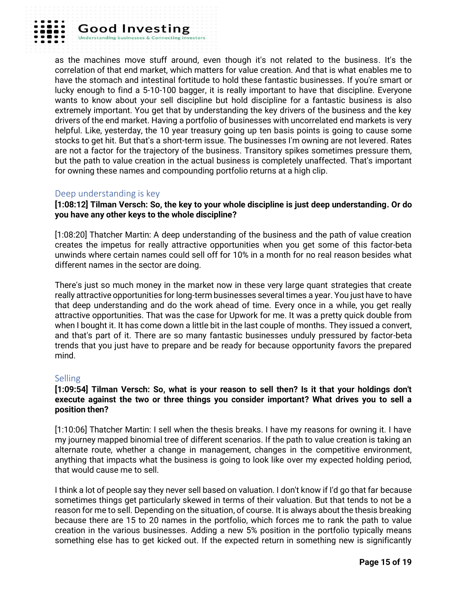

as the machines move stuff around, even though it's not related to the business. It's the correlation of that end market, which matters for value creation. And that is what enables me to have the stomach and intestinal fortitude to hold these fantastic businesses. If you're smart or lucky enough to find a 5-10-100 bagger, it is really important to have that discipline. Everyone wants to know about your sell discipline but hold discipline for a fantastic business is also extremely important. You get that by understanding the key drivers of the business and the key drivers of the end market. Having a portfolio of businesses with uncorrelated end markets is very helpful. Like, yesterday, the 10 year treasury going up ten basis points is going to cause some stocks to get hit. But that's a short-term issue. The businesses I'm owning are not levered. Rates are not a factor for the trajectory of the business. Transitory spikes sometimes pressure them, but the path to value creation in the actual business is completely unaffected. That's important for owning these names and compounding portfolio returns at a high clip.

## Deep understanding is key

**Good Investing** 

**Understanding businesses** 

**[1:08:12] Tilman Versch: So, the key to your whole discipline is just deep understanding. Or do you have any other keys to the whole discipline?**

[1:08:20] Thatcher Martin: A deep understanding of the business and the path of value creation creates the impetus for really attractive opportunities when you get some of this factor-beta unwinds where certain names could sell off for 10% in a month for no real reason besides what different names in the sector are doing.

There's just so much money in the market now in these very large quant strategies that create really attractive opportunities for long-term businesses several times a year. You just have to have that deep understanding and do the work ahead of time. Every once in a while, you get really attractive opportunities. That was the case for Upwork for me. It was a pretty quick double from when I bought it. It has come down a little bit in the last couple of months. They issued a convert, and that's part of it. There are so many fantastic businesses unduly pressured by factor-beta trends that you just have to prepare and be ready for because opportunity favors the prepared mind.

## **Selling**

## **[1:09:54] Tilman Versch: So, what is your reason to sell then? Is it that your holdings don't execute against the two or three things you consider important? What drives you to sell a position then?**

[1:10:06] Thatcher Martin: I sell when the thesis breaks. I have my reasons for owning it. I have my journey mapped binomial tree of different scenarios. If the path to value creation is taking an alternate route, whether a change in management, changes in the competitive environment, anything that impacts what the business is going to look like over my expected holding period, that would cause me to sell.

I think a lot of people say they never sell based on valuation. I don't know if I'd go that far because sometimes things get particularly skewed in terms of their valuation. But that tends to not be a reason for me to sell. Depending on the situation, of course. It is always about the thesis breaking because there are 15 to 20 names in the portfolio, which forces me to rank the path to value creation in the various businesses. Adding a new 5% position in the portfolio typically means something else has to get kicked out. If the expected return in something new is significantly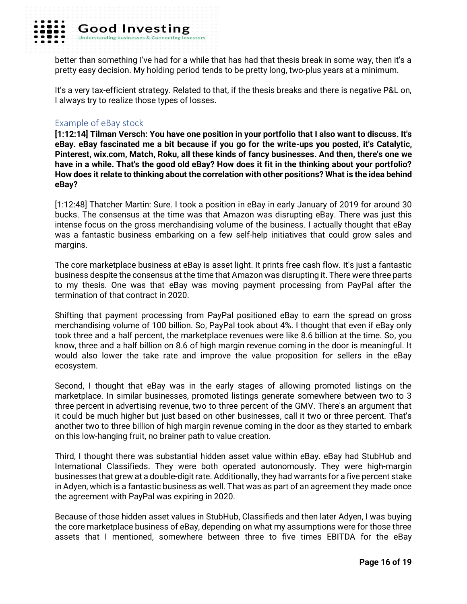

better than something I've had for a while that has had that thesis break in some way, then it's a pretty easy decision. My holding period tends to be pretty long, two-plus years at a minimum.

It's a very tax-efficient strategy. Related to that, if the thesis breaks and there is negative P&L on, I always try to realize those types of losses.

## Example of eBay stock

**[1:12:14] Tilman Versch: You have one position in your portfolio that I also want to discuss. It's eBay. eBay fascinated me a bit because if you go for the write-ups you posted, it's Catalytic, Pinterest, wix.com, Match, Roku, all these kinds of fancy businesses. And then, there's one we have in a while. That's the good old eBay? How does it fit in the thinking about your portfolio? How does it relate to thinking about the correlation with other positions? What is the idea behind eBay?**

[1:12:48] Thatcher Martin: Sure. I took a position in eBay in early January of 2019 for around 30 bucks. The consensus at the time was that Amazon was disrupting eBay. There was just this intense focus on the gross merchandising volume of the business. I actually thought that eBay was a fantastic business embarking on a few self-help initiatives that could grow sales and margins.

The core marketplace business at eBay is asset light. It prints free cash flow. It's just a fantastic business despite the consensus at the time that Amazon was disrupting it. There were three parts to my thesis. One was that eBay was moving payment processing from PayPal after the termination of that contract in 2020.

Shifting that payment processing from PayPal positioned eBay to earn the spread on gross merchandising volume of 100 billion. So, PayPal took about 4%. I thought that even if eBay only took three and a half percent, the marketplace revenues were like 8.6 billion at the time. So, you know, three and a half billion on 8.6 of high margin revenue coming in the door is meaningful. It would also lower the take rate and improve the value proposition for sellers in the eBay ecosystem.

Second, I thought that eBay was in the early stages of allowing promoted listings on the marketplace. In similar businesses, promoted listings generate somewhere between two to 3 three percent in advertising revenue, two to three percent of the GMV. There's an argument that it could be much higher but just based on other businesses, call it two or three percent. That's another two to three billion of high margin revenue coming in the door as they started to embark on this low-hanging fruit, no brainer path to value creation.

Third, I thought there was substantial hidden asset value within eBay. eBay had StubHub and International Classifieds. They were both operated autonomously. They were high-margin businesses that grew at a double-digit rate. Additionally, they had warrants for a five percent stake in Adyen, which is a fantastic business as well. That was as part of an agreement they made once the agreement with PayPal was expiring in 2020.

Because of those hidden asset values in StubHub, Classifieds and then later Adyen, I was buying the core marketplace business of eBay, depending on what my assumptions were for those three assets that I mentioned, somewhere between three to five times EBITDA for the eBay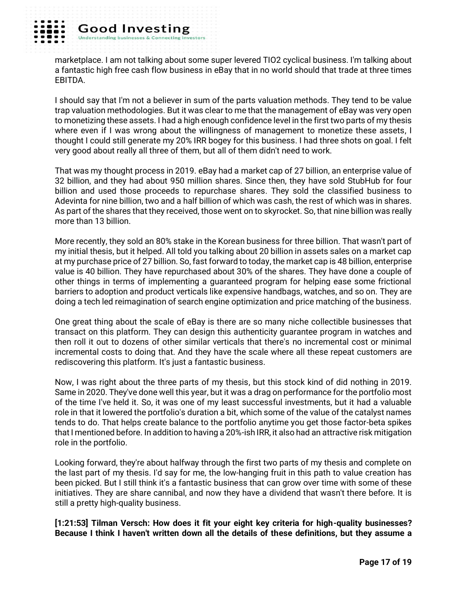

marketplace. I am not talking about some super levered TIO2 cyclical business. I'm talking about a fantastic high free cash flow business in eBay that in no world should that trade at three times EBITDA.

I should say that I'm not a believer in sum of the parts valuation methods. They tend to be value trap valuation methodologies. But it was clear to me that the management of eBay was very open to monetizing these assets. I had a high enough confidence level in the first two parts of my thesis where even if I was wrong about the willingness of management to monetize these assets, I thought I could still generate my 20% IRR bogey for this business. I had three shots on goal. I felt very good about really all three of them, but all of them didn't need to work.

That was my thought process in 2019. eBay had a market cap of 27 billion, an enterprise value of 32 billion, and they had about 950 million shares. Since then, they have sold StubHub for four billion and used those proceeds to repurchase shares. They sold the classified business to Adevinta for nine billion, two and a half billion of which was cash, the rest of which was in shares. As part of the shares that they received, those went on to skyrocket. So, that nine billion was really more than 13 billion.

More recently, they sold an 80% stake in the Korean business for three billion. That wasn't part of my initial thesis, but it helped. All told you talking about 20 billion in assets sales on a market cap at my purchase price of 27 billion. So, fast forward to today, the market cap is 48 billion, enterprise value is 40 billion. They have repurchased about 30% of the shares. They have done a couple of other things in terms of implementing a guaranteed program for helping ease some frictional barriers to adoption and product verticals like expensive handbags, watches, and so on. They are doing a tech led reimagination of search engine optimization and price matching of the business.

One great thing about the scale of eBay is there are so many niche collectible businesses that transact on this platform. They can design this authenticity guarantee program in watches and then roll it out to dozens of other similar verticals that there's no incremental cost or minimal incremental costs to doing that. And they have the scale where all these repeat customers are rediscovering this platform. It's just a fantastic business.

Now, I was right about the three parts of my thesis, but this stock kind of did nothing in 2019. Same in 2020. They've done well this year, but it was a drag on performance for the portfolio most of the time I've held it. So, it was one of my least successful investments, but it had a valuable role in that it lowered the portfolio's duration a bit, which some of the value of the catalyst names tends to do. That helps create balance to the portfolio anytime you get those factor-beta spikes that I mentioned before. In addition to having a 20%-ish IRR, it also had an attractive risk mitigation role in the portfolio.

Looking forward, they're about halfway through the first two parts of my thesis and complete on the last part of my thesis. I'd say for me, the low-hanging fruit in this path to value creation has been picked. But I still think it's a fantastic business that can grow over time with some of these initiatives. They are share cannibal, and now they have a dividend that wasn't there before. It is still a pretty high-quality business.

**[1:21:53] Tilman Versch: How does it fit your eight key criteria for high-quality businesses? Because I think I haven't written down all the details of these definitions, but they assume a**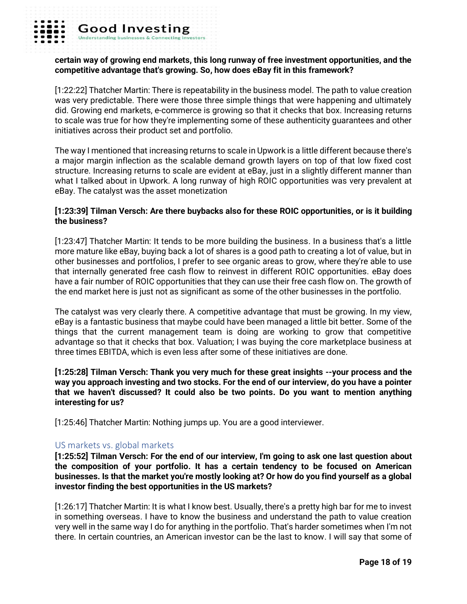#### **certain way of growing end markets, this long runway of free investment opportunities, and the competitive advantage that's growing. So, how does eBay fit in this framework?**

[1:22:22] Thatcher Martin: There is repeatability in the business model. The path to value creation was very predictable. There were those three simple things that were happening and ultimately did. Growing end markets, e-commerce is growing so that it checks that box. Increasing returns to scale was true for how they're implementing some of these authenticity guarantees and other initiatives across their product set and portfolio.

The way I mentioned that increasing returns to scale in Upwork is a little different because there's a major margin inflection as the scalable demand growth layers on top of that low fixed cost structure. Increasing returns to scale are evident at eBay, just in a slightly different manner than what I talked about in Upwork. A long runway of high ROIC opportunities was very prevalent at eBay. The catalyst was the asset monetization

## **[1:23:39] Tilman Versch: Are there buybacks also for these ROIC opportunities, or is it building the business?**

[1:23:47] Thatcher Martin: It tends to be more building the business. In a business that's a little more mature like eBay, buying back a lot of shares is a good path to creating a lot of value, but in other businesses and portfolios, I prefer to see organic areas to grow, where they're able to use that internally generated free cash flow to reinvest in different ROIC opportunities. eBay does have a fair number of ROIC opportunities that they can use their free cash flow on. The growth of the end market here is just not as significant as some of the other businesses in the portfolio.

The catalyst was very clearly there. A competitive advantage that must be growing. In my view, eBay is a fantastic business that maybe could have been managed a little bit better. Some of the things that the current management team is doing are working to grow that competitive advantage so that it checks that box. Valuation; I was buying the core marketplace business at three times EBITDA, which is even less after some of these initiatives are done.

**[1:25:28] Tilman Versch: Thank you very much for these great insights --your process and the way you approach investing and two stocks. For the end of our interview, do you have a pointer that we haven't discussed? It could also be two points. Do you want to mention anything interesting for us?**

[1:25:46] Thatcher Martin: Nothing jumps up. You are a good interviewer.

## US markets vs. global markets

**[1:25:52] Tilman Versch: For the end of our interview, I'm going to ask one last question about the composition of your portfolio. It has a certain tendency to be focused on American businesses. Is that the market you're mostly looking at? Or how do you find yourself as a global investor finding the best opportunities in the US markets?**

[1:26:17] Thatcher Martin: It is what I know best. Usually, there's a pretty high bar for me to invest in something overseas. I have to know the business and understand the path to value creation very well in the same way I do for anything in the portfolio. That's harder sometimes when I'm not there. In certain countries, an American investor can be the last to know. I will say that some of